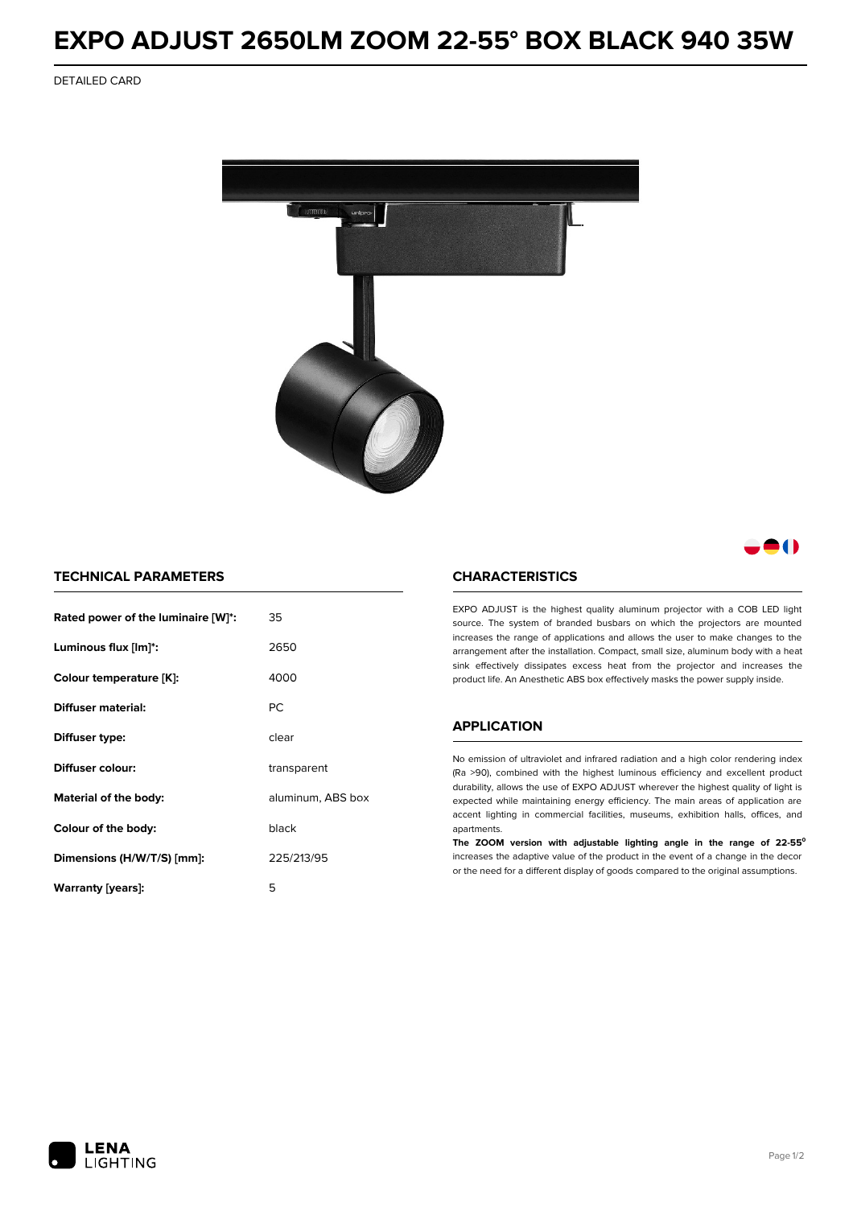# **EXPO ADJUST 2650LM ZOOM 22-55° BOX BLACK 940 35W**

DETAILED CARD



# 80

### **TECHNICAL PARAMETERS**

| Rated power of the luminaire [W]*: | 35                |  |
|------------------------------------|-------------------|--|
| Luminous flux [lm]*:               | 2650              |  |
| Colour temperature [K]:            | 4000              |  |
| Diffuser material:                 | РC                |  |
| Diffuser type:                     | clear             |  |
| Diffuser colour:                   | transparent       |  |
| Material of the body:              | aluminum, ABS box |  |
| Colour of the body:                | black             |  |
| Dimensions (H/W/T/S) [mm]:         | 225/213/95        |  |
| Warranty [years]:                  | 5                 |  |

#### **CHARACTERISTICS**

EXPO ADJUST is the highest quality aluminum projector with a COB LED light source. The system of branded busbars on which the projectors are mounted increases the range of applications and allows the user to make changes to the arrangement after the installation. Compact, small size, aluminum body with a heat sink effectively dissipates excess heat from the projector and increases the product life. An Anesthetic ABS box effectively masks the power supply inside.

## **APPLICATION**

No emission of ultraviolet and infrared radiation and a high color rendering index (Ra >90), combined with the highest luminous efficiency and excellent product durability, allows the use of EXPO ADJUST wherever the highest quality of light is expected while maintaining energy efficiency. The main areas of application are accent lighting in commercial facilities, museums, exhibition halls, offices, and apartments.

**The ZOOM version with adjustable lighting angle in the range of 22-55⁰** increases the adaptive value of the product in the event of a change in the decor or the need for a different display of goods compared to the original assumptions.